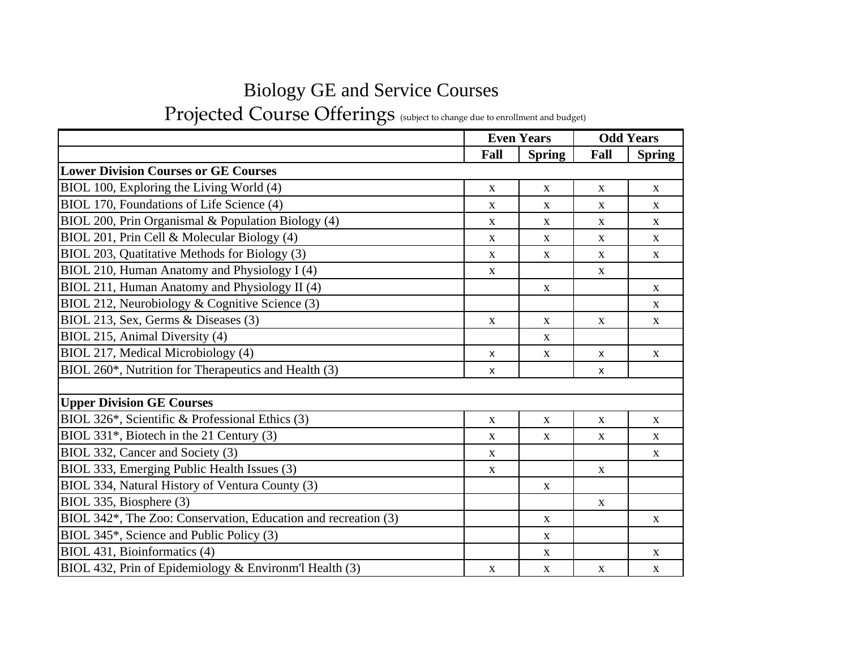## Biology GE and Service Courses

Projected Course Offerings (subject to change due to enrollment and budget)

|                                                                             |              | <b>Even Years</b> | <b>Odd Years</b>          |               |
|-----------------------------------------------------------------------------|--------------|-------------------|---------------------------|---------------|
|                                                                             | Fall         | <b>Spring</b>     | Fall                      | <b>Spring</b> |
| <b>Lower Division Courses or GE Courses</b>                                 |              |                   |                           |               |
| BIOL 100, Exploring the Living World (4)                                    | $\mathbf X$  | X                 | $\mathbf X$               | $\mathbf X$   |
| BIOL 170, Foundations of Life Science (4)                                   | X            | X                 | $\mathbf X$               | $\mathbf{X}$  |
| BIOL 200, Prin Organismal & Population Biology (4)                          | $\mathbf X$  | $\mathbf{X}$      | $\mathbf X$               | $\mathbf{X}$  |
| BIOL 201, Prin Cell & Molecular Biology (4)                                 | $\mathbf X$  | X                 | $\mathbf X$               | $\mathbf X$   |
| BIOL 203, Quatitative Methods for Biology (3)                               | $\mathbf X$  | $\mathbf X$       | $\mathbf{X}$              | $\mathbf X$   |
| BIOL 210, Human Anatomy and Physiology I (4)                                | $\mathbf X$  |                   | $\mathbf X$               |               |
| BIOL 211, Human Anatomy and Physiology II (4)                               |              | $\mathbf X$       |                           | $\mathbf X$   |
| BIOL 212, Neurobiology $&$ Cognitive Science (3)                            |              |                   |                           | $\mathbf X$   |
| BIOL 213, Sex, Germs & Diseases (3)                                         | $\mathbf X$  | X                 | $\mathbf X$               | $\mathbf X$   |
| BIOL 215, Animal Diversity (4)                                              |              | X                 |                           |               |
| BIOL 217, Medical Microbiology (4)                                          | $\mathsf{x}$ | $\mathbf X$       | $\mathsf{X}$              | $\mathbf X$   |
| BIOL 260*, Nutrition for Therapeutics and Health (3)                        | $\mathsf{x}$ |                   | $\boldsymbol{\mathsf{X}}$ |               |
|                                                                             |              |                   |                           |               |
| <b>Upper Division GE Courses</b>                                            |              |                   |                           |               |
| BIOL 326 <sup>*</sup> , Scientific & Professional Ethics (3)                | $\mathbf X$  | $\mathbf X$       | $\mathbf X$               | $\mathbf X$   |
| BIOL 331*, Biotech in the 21 Century (3)                                    | $\mathbf X$  | $\mathbf X$       | $\mathbf X$               | $\mathbf X$   |
| BIOL 332, Cancer and Society (3)                                            | $\mathbf X$  |                   |                           | $\mathbf X$   |
| BIOL 333, Emerging Public Health Issues (3)                                 | $\mathbf X$  |                   | $\mathbf X$               |               |
| BIOL 334, Natural History of Ventura County (3)                             |              | $\mathbf X$       |                           |               |
| BIOL 335, Biosphere (3)                                                     |              |                   | $\mathbf X$               |               |
| BIOL 342 <sup>*</sup> , The Zoo: Conservation, Education and recreation (3) |              | $\mathbf X$       |                           | $\mathbf X$   |
| BIOL 345 <sup>*</sup> , Science and Public Policy (3)                       |              | $\mathbf X$       |                           |               |
| BIOL 431, Bioinformatics (4)                                                |              | $\mathbf{X}$      |                           | $\mathbf X$   |
| BIOL 432, Prin of Epidemiology & Environm'l Health (3)                      | $\mathbf X$  | $\mathbf X$       | $\mathbf{X}$              | $\mathbf{X}$  |